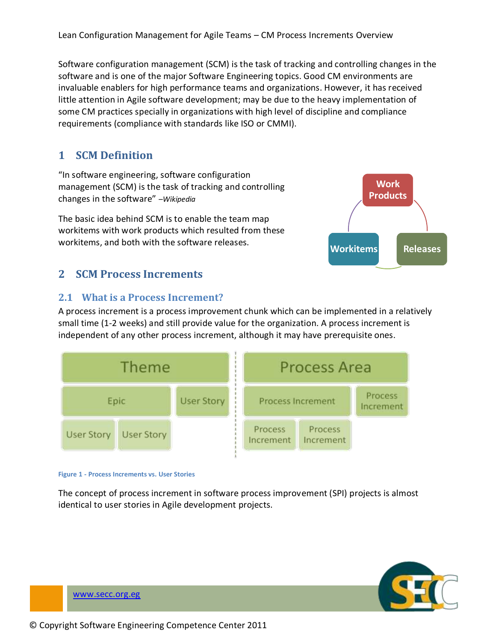Software configuration management (SCM) is the task of tracking and controlling changes in the software and is one of the major Software Engineering topics. Good CM environments are invaluable enablers for high performance teams and organizations. However, it has received little attention in Agile software development; may be due to the heavy implementation of some CM practices specially in organizations with high level of discipline and compliance requirements (compliance with standards like ISO or CMMI).

## **1 SCM Definition**

"In software engineering, software configuration management (SCM) is the task of tracking and controlling changes in the software" *–Wikipedia*

The basic idea behind SCM is to enable the team map workitems with work products which resulted from these workitems, and both with the software releases.



# **2 SCM Process Increments**

### **2.1 What is a Process Increment?**

A process increment is a process improvement chunk which can be implemented in a relatively small time (1-2 weeks) and still provide value for the organization. A process increment is independent of any other process increment, although it may have prerequisite ones.



#### **Figure 1 - Process Increments vs. User Stories**

The concept of process increment in software process improvement (SPI) projects is almost identical to user stories in Agile development projects.



[www.secc.org.eg](http://www.secc.org.eg/)